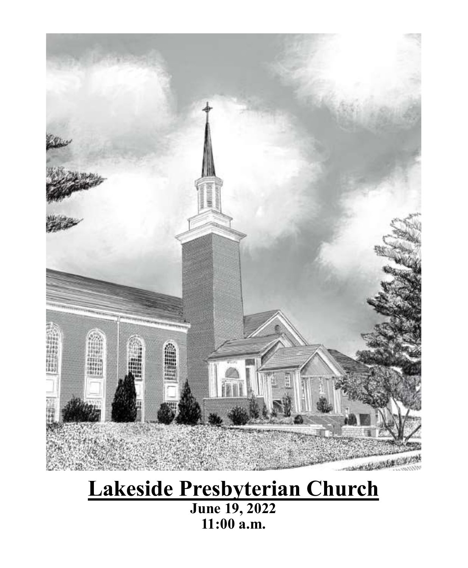

# **Lakeside Presbyterian Church**

**June 19, 2022 11:00 a.m.**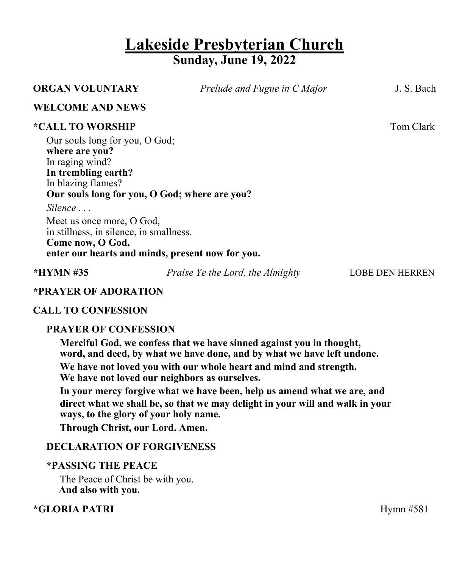# **Lakeside Presbyterian Church Sunday, June 19, 2022**

| <b>ORGAN VOLUNTARY</b>                                                                                                                                                                                                                                                                                                                                         | Prelude and Fugue in C Major     | J. S. Bach             |
|----------------------------------------------------------------------------------------------------------------------------------------------------------------------------------------------------------------------------------------------------------------------------------------------------------------------------------------------------------------|----------------------------------|------------------------|
| <b>WELCOME AND NEWS</b>                                                                                                                                                                                                                                                                                                                                        |                                  |                        |
| <i><b>*CALL TO WORSHIP</b></i><br>Our souls long for you, O God;<br>where are you?<br>In raging wind?<br>In trembling earth?<br>In blazing flames?<br>Our souls long for you, O God; where are you?<br>Silence<br>Meet us once more, O God,<br>in stillness, in silence, in smallness.<br>Come now, O God,<br>enter our hearts and minds, present now for you. |                                  | Tom Clark              |
| $*HYMN \#35$                                                                                                                                                                                                                                                                                                                                                   | Praise Ye the Lord, the Almighty | <b>LOBE DEN HERREN</b> |
| <b>*PRAYER OF ADORATION</b>                                                                                                                                                                                                                                                                                                                                    |                                  |                        |

# **CALL TO CONFESSION**

# **PRAYER OF CONFESSION**

**Merciful God, we confess that we have sinned against you in thought, word, and deed, by what we have done, and by what we have left undone. We have not loved you with our whole heart and mind and strength. We have not loved our neighbors as ourselves.** 

**In your mercy forgive what we have been, help us amend what we are, and direct what we shall be, so that we may delight in your will and walk in your ways, to the glory of your holy name.** 

**Through Christ, our Lord. Amen.**

# **DECLARATION OF FORGIVENESS**

#### **\*PASSING THE PEACE**

The Peace of Christ be with you.  **And also with you.**

# **\*GLORIA PATRI** Hymn #581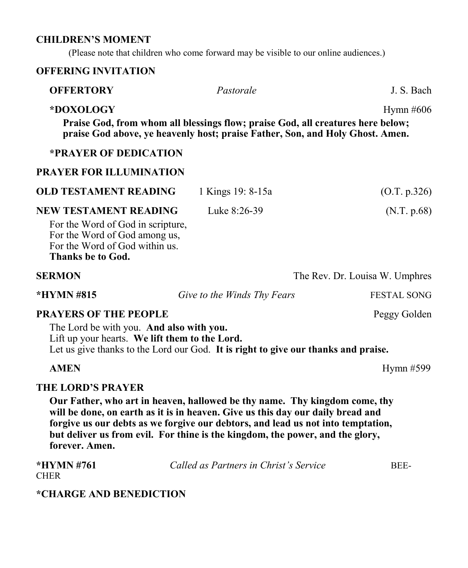#### **CHILDREN'S MOMENT**

(Please note that children who come forward may be visible to our online audiences.)

# **OFFERING INVITATION**

| <b>OFFERTORY</b>                                                                                                                                   | Pastorale                                                                                                                                                        | J. S. Bach                     |
|----------------------------------------------------------------------------------------------------------------------------------------------------|------------------------------------------------------------------------------------------------------------------------------------------------------------------|--------------------------------|
| *DOXOLOGY                                                                                                                                          | Praise God, from whom all blessings flow; praise God, all creatures here below;<br>praise God above, ye heavenly host; praise Father, Son, and Holy Ghost. Amen. | Hymn #606                      |
| <b>*PRAYER OF DEDICATION</b>                                                                                                                       |                                                                                                                                                                  |                                |
| <b>PRAYER FOR ILLUMINATION</b>                                                                                                                     |                                                                                                                                                                  |                                |
| <b>OLD TESTAMENT READING</b>                                                                                                                       | 1 Kings 19: 8-15a                                                                                                                                                | (O.T. p.326)                   |
| NEW TESTAMENT READING<br>For the Word of God in scripture,<br>For the Word of God among us,<br>For the Word of God within us.<br>Thanks be to God. | Luke 8:26-39                                                                                                                                                     | (N.T. p.68)                    |
| <b>SERMON</b>                                                                                                                                      |                                                                                                                                                                  | The Rev. Dr. Louisa W. Umphres |
| *HYMN #815                                                                                                                                         | Give to the Winds Thy Fears                                                                                                                                      | <b>FESTAL SONG</b>             |
| <b>PRAYERS OF THE PEOPLE</b><br>The Lord be with you. And also with you.<br>Lift up your hearts. We lift them to the Lord.                         | Let us give thanks to the Lord our God. It is right to give our thanks and praise.                                                                               | Peggy Golden                   |

## **AMEN** Hymn #599

**THE LORD'S PRAYER** 

**Our Father, who art in heaven, hallowed be thy name. Thy kingdom come, thy will be done, on earth as it is in heaven. Give us this day our daily bread and forgive us our debts as we forgive our debtors, and lead us not into temptation, but deliver us from evil. For thine is the kingdom, the power, and the glory, forever. Amen.**

| *HYMN #761  | Called as Partners in Christ's Service | BEE- |
|-------------|----------------------------------------|------|
| <b>CHER</b> |                                        |      |

# **\*CHARGE AND BENEDICTION**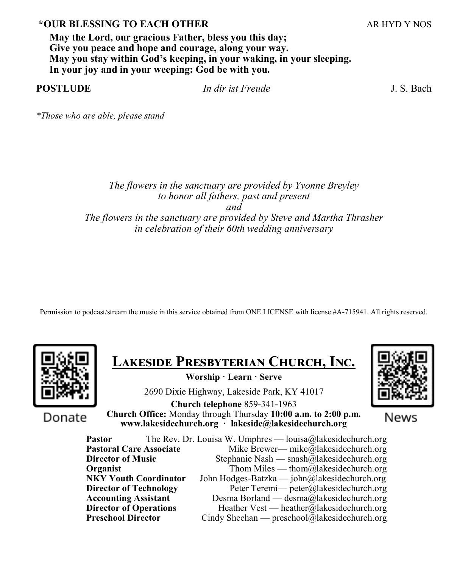# **\*OUR BLESSING TO EACH OTHER** ARE ARREST ARE ARREST AND Y NOS

**May the Lord, our gracious Father, bless you this day; Give you peace and hope and courage, along your way. May you stay within God's keeping, in your waking, in your sleeping. In your joy and in your weeping: God be with you.**

| <b>POSTLUDE</b> | In dir ist Freude | J. S. Bach |
|-----------------|-------------------|------------|
|                 |                   |            |

*\*Those who are able, please stand*

#### *The flowers in the sanctuary are provided by Yvonne Breyley to honor all fathers, past and present and The flowers in the sanctuary are provided by Steve and Martha Thrasher in celebration of their 60th wedding anniversary*

Permission to podcast/stream the music in this service obtained from ONE LICENSE with license #A-715941. All rights reserved.



**Lakeside Presbyterian Church, Inc.** 

**Worship · Learn · Serve**

2690 Dixie Highway, Lakeside Park, KY 41017

Donate

**Church telephone** 859-341-1963 **Church Office:** Monday through Thursday **10:00 a.m. to 2:00 p.m. www.lakesidechurch.org · lakeside@lakesidechurch.org**



News

Pastor The Rev. Dr. Louisa W. Umphres — louisa@lakesidechurch.org **Pastoral Care Associate** Mike Brewer— mike@lakesidechurch.org **Director of Music** Stephanie Nash — snash@lakesidechurch.org **Organist** Thom Miles — thom  $\overline{a}$  lakesidechurch.org **NKY Youth Coordinator** John Hodges-Batzka — john@lakesidechurch.org **Director of Technology** Peter Teremi— peter@lakesidechurch.org **Accounting Assistant** Desma Borland — desma@lakesidechurch.org **Director of Operations** Heather Vest — heather@lakesidechurch.org<br> **Preschool Director** Cindy Sheehan — preschool@lakesidechurch.org Cindy Sheehan — preschool@lakesidechurch.org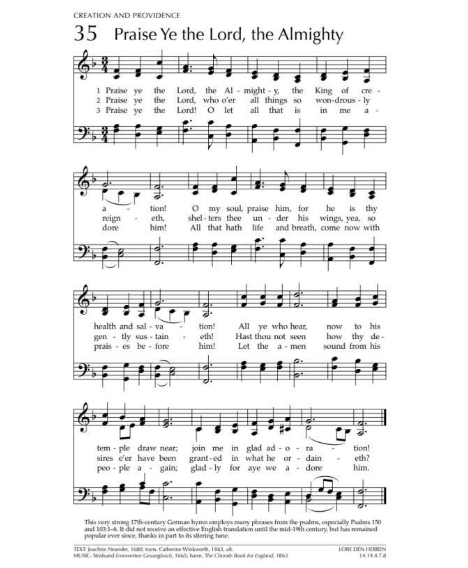**CREATION AND PROVIDENCE** 



This very strong 17th-century German hymn employs many phrases from the psalms, especially Psalms 150 and 103:1-6. It did not receive an effective English translation until the mid-19th century, but has remained popular ever since, thanks in part to its stirring tune.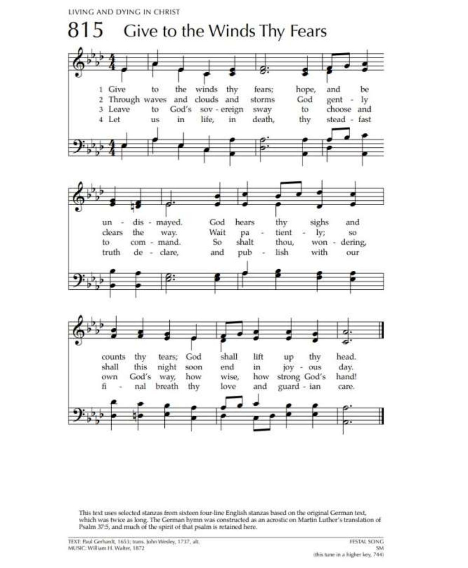LIVING AND DYING IN CHRIST



This text uses selected stanzas from sixteen four-line English stanzas based on the original German text, which was twice as long. The German hymn was constructed as an acrostic on Martin Luther's translation of Psalm 37:5, and much of the spirit of that psalm is retained here.